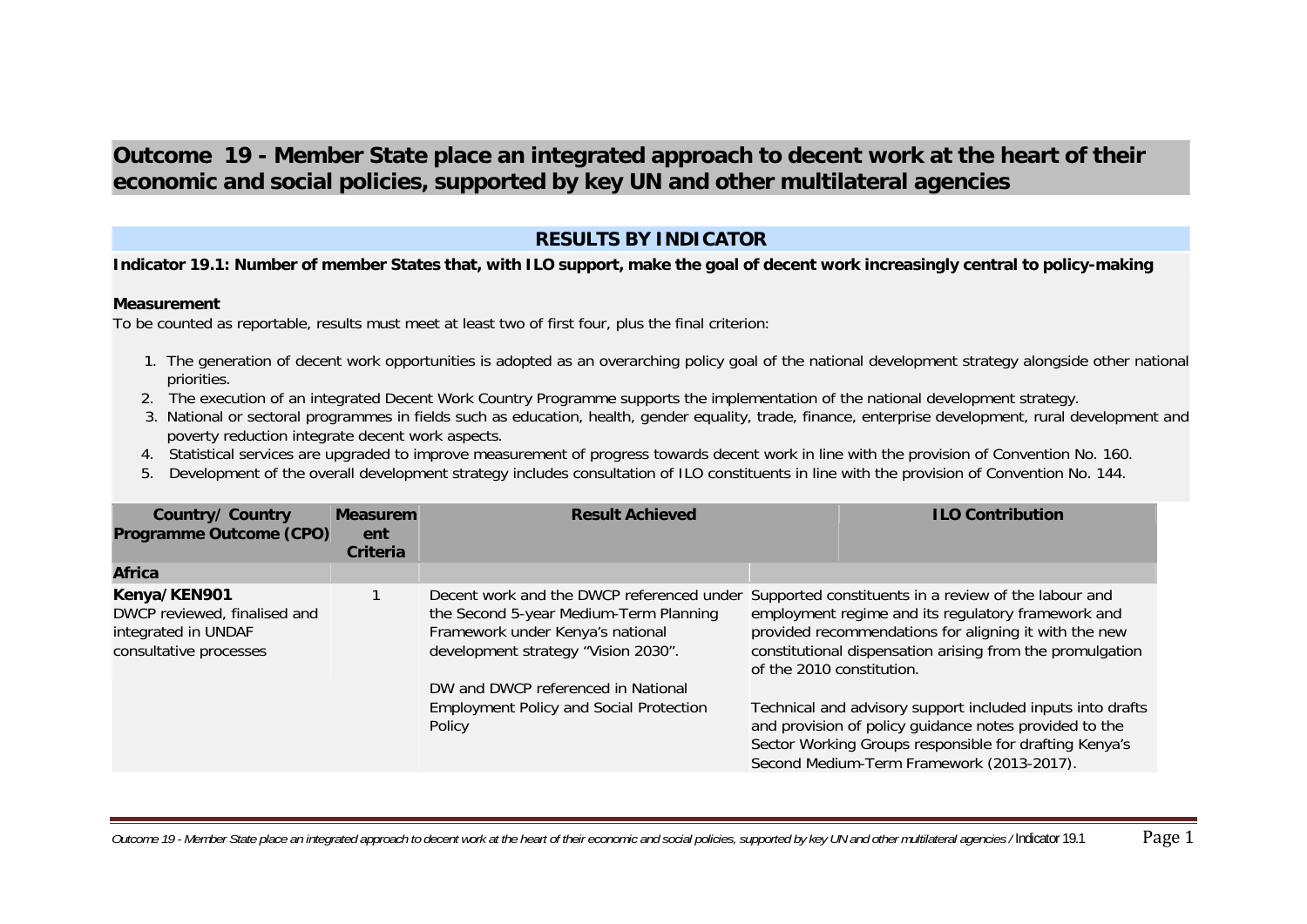# **Outcome 19 - Member State place an integrated approach to decent work at the heart of their economic and social policies, supported by key UN and other multilateral agencies**

## **RESULTS BY INDICATOR**

## **Indicator 19.1: Number of member States that, with ILO support, make the goal of decent work increasingly central to policy-making**

### **Measurement**

To be counted as reportable, results must meet at least two of first four, plus the final criterion:

- 1. The generation of decent work opportunities is adopted as an overarching policy goal of the national development strategy alongside other national priorities.
- 2. The execution of an integrated Decent Work Country Programme supports the implementation of the national development strategy.
- 3. National or sectoral programmes in fields such as education, health, gender equality, trade, finance, enterprise development, rural development and poverty reduction integrate decent work aspects.
- 4. Statistical services are upgraded to improve measurement of progress towards decent work in line with the provision of Convention No. 160.
- 5. Development of the overall development strategy includes consultation of ILO constituents in line with the provision of Convention No. 144.

| Country/ Country<br>Programme Outcome (CPO)                                                   | <b>Measurem</b><br>ent<br>Criteria | <b>Result Achieved</b>                                                                                                                                                                                              | <b>ILO Contribution</b>                                                                                                                                                                                                                                                                                                                                                                                                                                                                                                                |
|-----------------------------------------------------------------------------------------------|------------------------------------|---------------------------------------------------------------------------------------------------------------------------------------------------------------------------------------------------------------------|----------------------------------------------------------------------------------------------------------------------------------------------------------------------------------------------------------------------------------------------------------------------------------------------------------------------------------------------------------------------------------------------------------------------------------------------------------------------------------------------------------------------------------------|
| <b>Africa</b>                                                                                 |                                    |                                                                                                                                                                                                                     |                                                                                                                                                                                                                                                                                                                                                                                                                                                                                                                                        |
| Kenya/KEN901<br>DWCP reviewed, finalised and<br>integrated in UNDAF<br>consultative processes |                                    | the Second 5-year Medium-Term Planning<br>Framework under Kenya's national<br>development strategy "Vision 2030".<br>DW and DWCP referenced in National<br><b>Employment Policy and Social Protection</b><br>Policy | Decent work and the DWCP referenced under Supported constituents in a review of the labour and<br>employment regime and its regulatory framework and<br>provided recommendations for aligning it with the new<br>constitutional dispensation arising from the promulgation<br>of the 2010 constitution.<br>Technical and advisory support included inputs into drafts<br>and provision of policy guidance notes provided to the<br>Sector Working Groups responsible for drafting Kenya's<br>Second Medium-Term Framework (2013-2017). |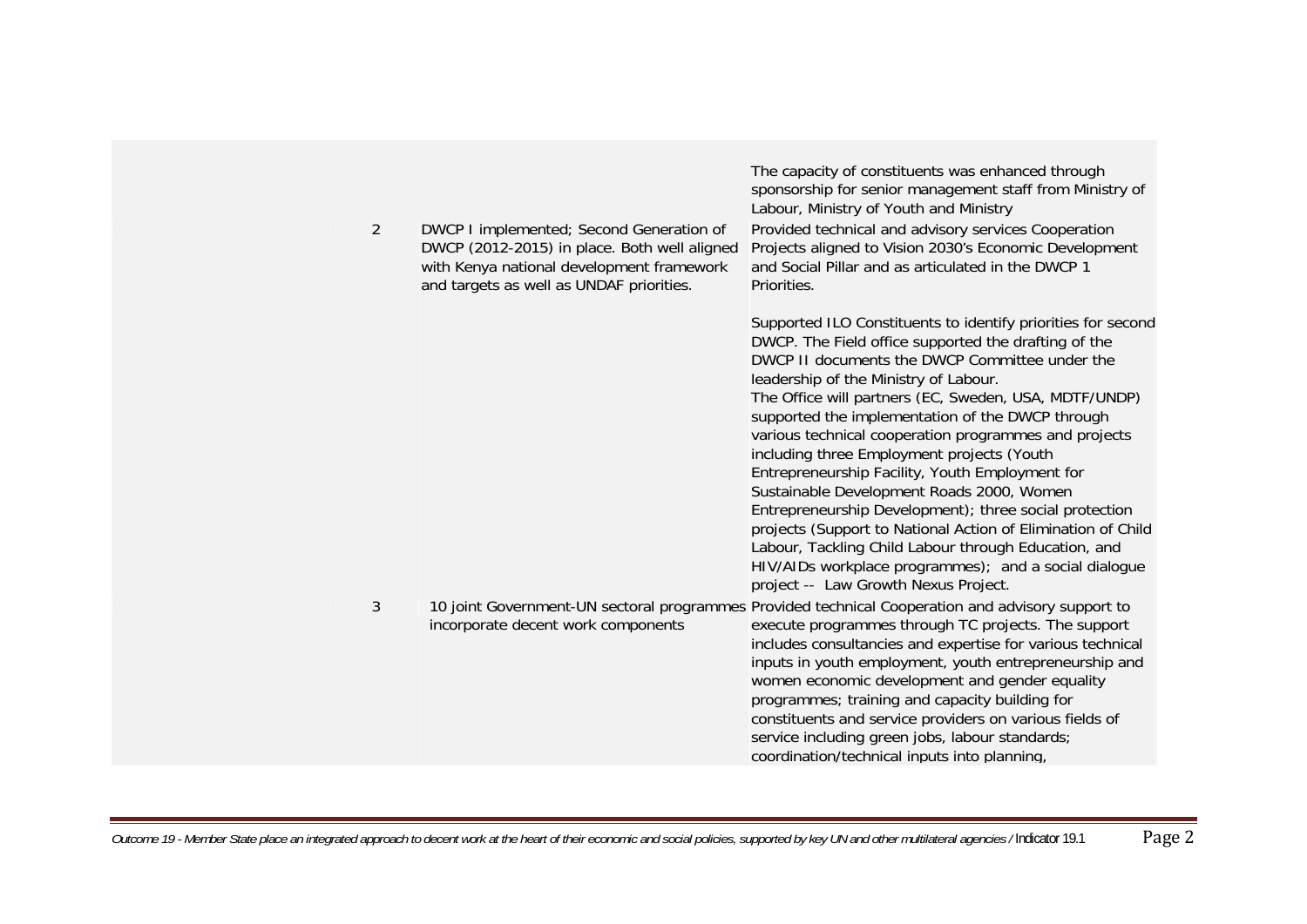| $\overline{2}$ | DWCP I implemented; Second Generation of<br>DWCP (2012-2015) in place. Both well aligned<br>with Kenya national development framework<br>and targets as well as UNDAF priorities. | The capacity of constituents was enhanced through<br>sponsorship for senior management staff from Ministry of<br>Labour, Ministry of Youth and Ministry<br>Provided technical and advisory services Cooperation<br>Projects aligned to Vision 2030's Economic Development<br>and Social Pillar and as articulated in the DWCP 1<br>Priorities.                                                                                                                                                                                                                                                                                                                                                                                                                                                                         |
|----------------|-----------------------------------------------------------------------------------------------------------------------------------------------------------------------------------|------------------------------------------------------------------------------------------------------------------------------------------------------------------------------------------------------------------------------------------------------------------------------------------------------------------------------------------------------------------------------------------------------------------------------------------------------------------------------------------------------------------------------------------------------------------------------------------------------------------------------------------------------------------------------------------------------------------------------------------------------------------------------------------------------------------------|
|                |                                                                                                                                                                                   | Supported ILO Constituents to identify priorities for second<br>DWCP. The Field office supported the drafting of the<br>DWCP II documents the DWCP Committee under the<br>leadership of the Ministry of Labour.<br>The Office will partners (EC, Sweden, USA, MDTF/UNDP)<br>supported the implementation of the DWCP through<br>various technical cooperation programmes and projects<br>including three Employment projects (Youth<br>Entrepreneurship Facility, Youth Employment for<br>Sustainable Development Roads 2000, Women<br>Entrepreneurship Development); three social protection<br>projects (Support to National Action of Elimination of Child<br>Labour, Tackling Child Labour through Education, and<br>HIV/AIDs workplace programmes); and a social dialogue<br>project -- Law Growth Nexus Project. |
| 3              | incorporate decent work components                                                                                                                                                | 10 joint Government-UN sectoral programmes Provided technical Cooperation and advisory support to<br>execute programmes through TC projects. The support<br>includes consultancies and expertise for various technical<br>inputs in youth employment, youth entrepreneurship and<br>women economic development and gender equality<br>programmes; training and capacity building for<br>constituents and service providers on various fields of<br>service including green jobs, labour standards;<br>coordination/technical inputs into planning,                                                                                                                                                                                                                                                                     |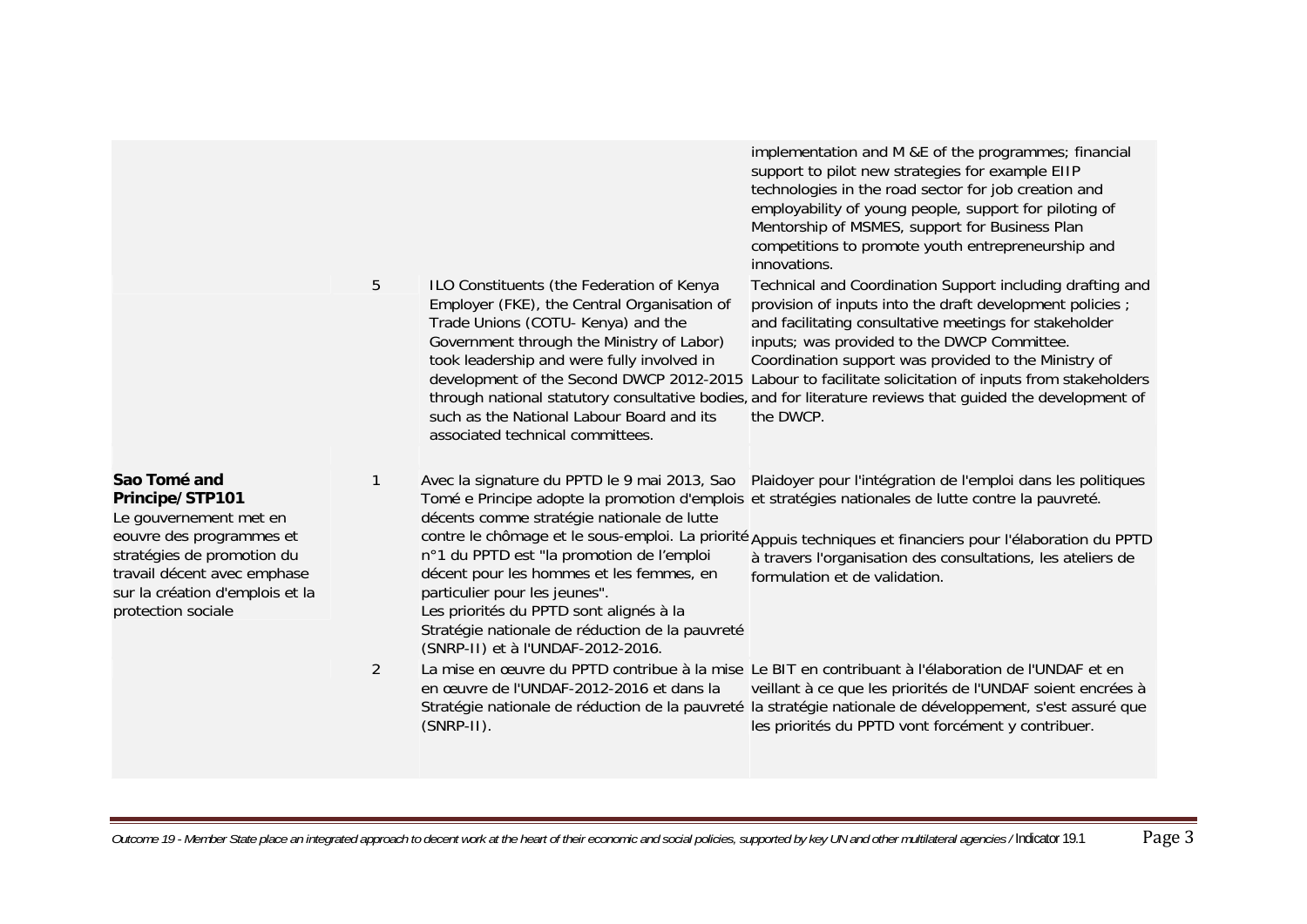|                                                                                                                                                                                                             |                |                                                                                                                                                                                                                                                                                                                                                         | support to pilot new strategies for example EIIP<br>technologies in the road sector for job creation and<br>employability of young people, support for piloting of<br>Mentorship of MSMES, support for Business Plan<br>competitions to promote youth entrepreneurship and<br>innovations.                                                                                                                                                                                        |
|-------------------------------------------------------------------------------------------------------------------------------------------------------------------------------------------------------------|----------------|---------------------------------------------------------------------------------------------------------------------------------------------------------------------------------------------------------------------------------------------------------------------------------------------------------------------------------------------------------|-----------------------------------------------------------------------------------------------------------------------------------------------------------------------------------------------------------------------------------------------------------------------------------------------------------------------------------------------------------------------------------------------------------------------------------------------------------------------------------|
|                                                                                                                                                                                                             | 5              | ILO Constituents (the Federation of Kenya<br>Employer (FKE), the Central Organisation of<br>Trade Unions (COTU- Kenya) and the<br>Government through the Ministry of Labor)<br>took leadership and were fully involved in<br>development of the Second DWCP 2012-2015<br>such as the National Labour Board and its<br>associated technical committees.  | Technical and Coordination Support including drafting and<br>provision of inputs into the draft development policies;<br>and facilitating consultative meetings for stakeholder<br>inputs; was provided to the DWCP Committee.<br>Coordination support was provided to the Ministry of<br>Labour to facilitate solicitation of inputs from stakeholders<br>through national statutory consultative bodies, and for literature reviews that guided the development of<br>the DWCP. |
| Sao Tomé and<br>Principe/STP101<br>Le gouvernement met en<br>eouvre des programmes et<br>stratégies de promotion du<br>travail décent avec emphase<br>sur la création d'emplois et la<br>protection sociale | 1              | Avec la signature du PPTD le 9 mai 2013, Sao<br>décents comme stratégie nationale de lutte<br>n°1 du PPTD est "la promotion de l'emploi<br>décent pour les hommes et les femmes, en<br>particulier pour les jeunes".<br>Les priorités du PPTD sont alignés à la<br>Stratégie nationale de réduction de la pauvreté<br>(SNRP-II) et à l'UNDAF-2012-2016. | Plaidoyer pour l'intégration de l'emploi dans les politiques<br>Tomé e Principe adopte la promotion d'emplois et stratégies nationales de lutte contre la pauvreté.<br>contre le chômage et le sous-emploi. La priorité Appuis techniques et financiers pour l'élaboration du PPTD<br>à travers l'organisation des consultations, les ateliers de<br>formulation et de validation.                                                                                                |
|                                                                                                                                                                                                             | $\overline{2}$ | en œuvre de l'UNDAF-2012-2016 et dans la<br>Stratégie nationale de réduction de la pauvreté<br>$(SNRP-II)$ .                                                                                                                                                                                                                                            | La mise en œuvre du PPTD contribue à la mise Le BIT en contribuant à l'élaboration de l'UNDAF et en<br>veillant à ce que les priorités de l'UNDAF soient encrées à<br>la stratégie nationale de développement, s'est assuré que<br>les priorités du PPTD vont forcément y contribuer.                                                                                                                                                                                             |

implementation and M &E of the programmes; financial

*Outcome 19 - Member State place an integrated approach to decent work at the heart of their economic and social policies, supported by key UN and other multilateral agencies / Indicator 19.1 Page 3*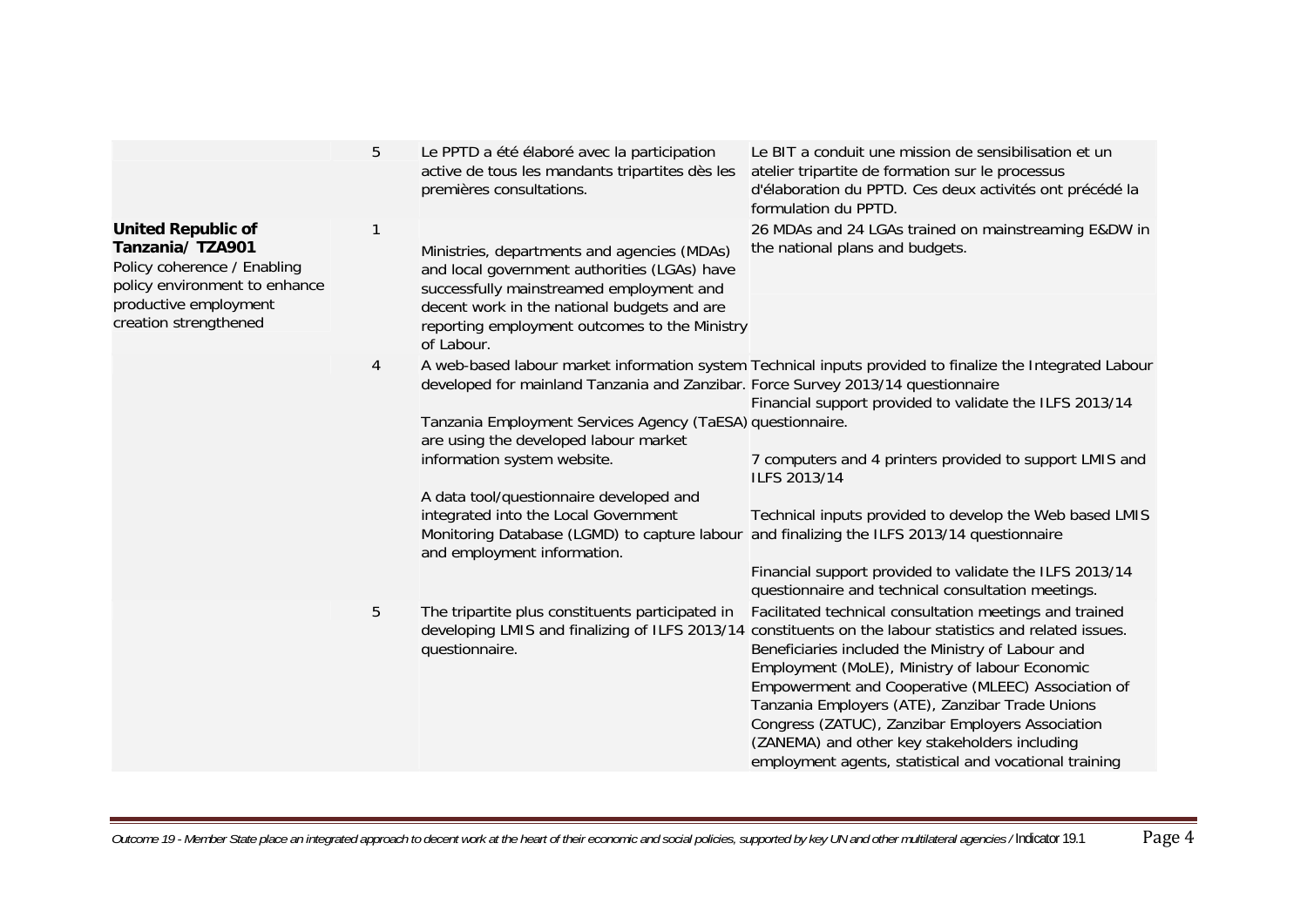|                                                                                                                                                                | 5 | Le PPTD a été élaboré avec la participation<br>active de tous les mandants tripartites dès les<br>premières consultations.                                                                                                                                                                                                                                                               | Le BIT a conduit une mission de sensibilisation et un<br>atelier tripartite de formation sur le processus<br>d'élaboration du PPTD. Ces deux activités ont précédé la<br>formulation du PPTD.                                                                                                                                                                                                                                                                                                       |
|----------------------------------------------------------------------------------------------------------------------------------------------------------------|---|------------------------------------------------------------------------------------------------------------------------------------------------------------------------------------------------------------------------------------------------------------------------------------------------------------------------------------------------------------------------------------------|-----------------------------------------------------------------------------------------------------------------------------------------------------------------------------------------------------------------------------------------------------------------------------------------------------------------------------------------------------------------------------------------------------------------------------------------------------------------------------------------------------|
| <b>United Republic of</b><br>Tanzania/TZA901<br>Policy coherence / Enabling<br>policy environment to enhance<br>productive employment<br>creation strengthened | 1 | Ministries, departments and agencies (MDAs)<br>and local government authorities (LGAs) have<br>successfully mainstreamed employment and<br>decent work in the national budgets and are<br>reporting employment outcomes to the Ministry<br>of Labour.                                                                                                                                    | 26 MDAs and 24 LGAs trained on mainstreaming E&DW in<br>the national plans and budgets.                                                                                                                                                                                                                                                                                                                                                                                                             |
|                                                                                                                                                                | 4 | developed for mainland Tanzania and Zanzibar. Force Survey 2013/14 questionnaire<br>Tanzania Employment Services Agency (TaESA) questionnaire.<br>are using the developed labour market<br>information system website.<br>A data tool/questionnaire developed and<br>integrated into the Local Government<br>Monitoring Database (LGMD) to capture labour<br>and employment information. | A web-based labour market information system Technical inputs provided to finalize the Integrated Labour<br>Financial support provided to validate the ILFS 2013/14<br>7 computers and 4 printers provided to support LMIS and<br>ILFS 2013/14<br>Technical inputs provided to develop the Web based LMIS<br>and finalizing the ILFS 2013/14 questionnaire<br>Financial support provided to validate the ILFS 2013/14<br>questionnaire and technical consultation meetings.                         |
|                                                                                                                                                                | 5 | The tripartite plus constituents participated in<br>developing LMIS and finalizing of ILFS 2013/14<br>questionnaire.                                                                                                                                                                                                                                                                     | Facilitated technical consultation meetings and trained<br>constituents on the labour statistics and related issues.<br>Beneficiaries included the Ministry of Labour and<br>Employment (MoLE), Ministry of labour Economic<br>Empowerment and Cooperative (MLEEC) Association of<br>Tanzania Employers (ATE), Zanzibar Trade Unions<br>Congress (ZATUC), Zanzibar Employers Association<br>(ZANEMA) and other key stakeholders including<br>employment agents, statistical and vocational training |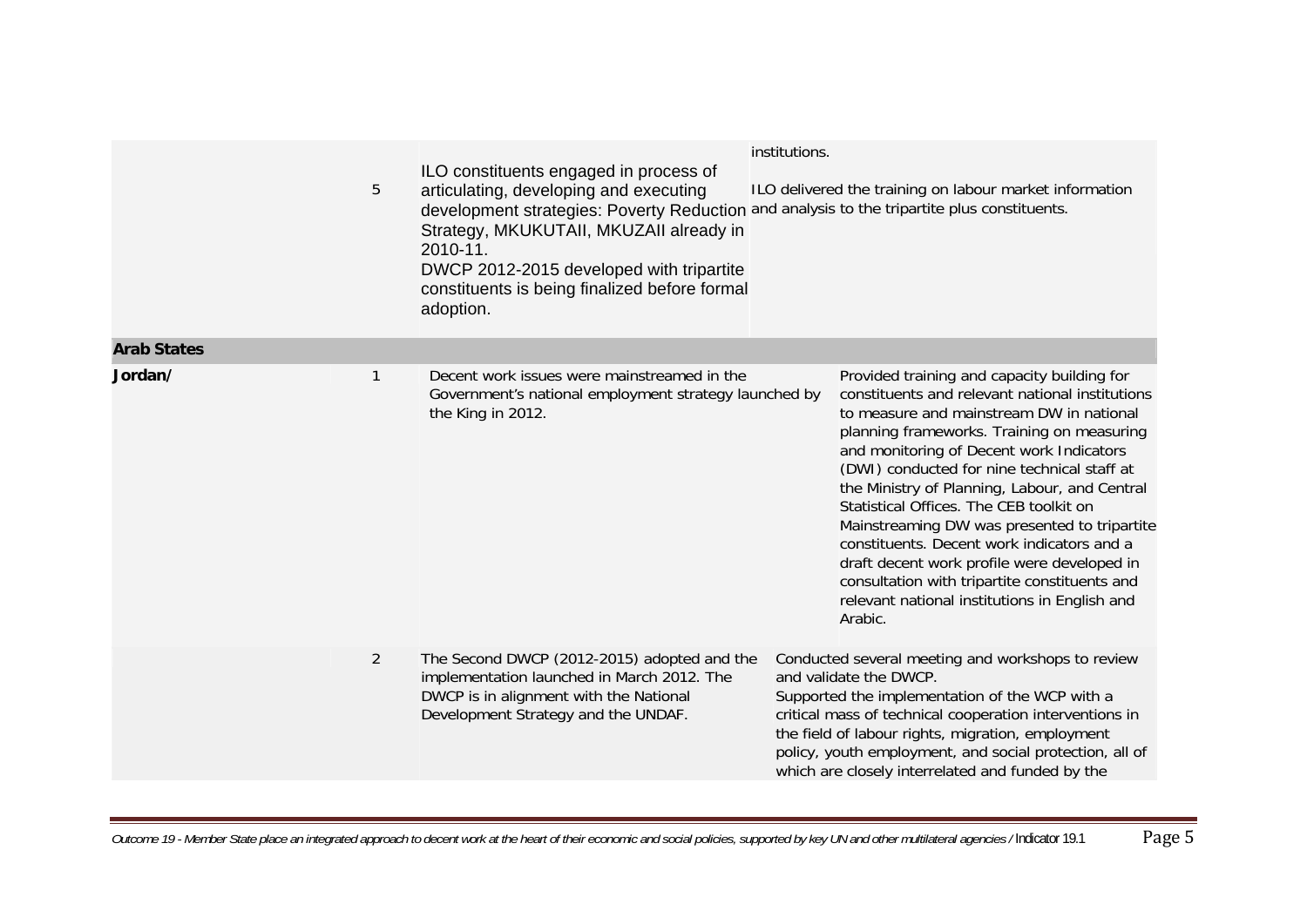|                    | 5              | ILO constituents engaged in process of<br>articulating, developing and executing<br>development strategies: Poverty Reduction<br>Strategy, MKUKUTAII, MKUZAII already in<br>2010-11.<br>DWCP 2012-2015 developed with tripartite<br>constituents is being finalized before formal<br>adoption. | institutions. | ILO delivered the training on labour market information<br>and analysis to the tripartite plus constituents.                                                                                                                                                                                                                                                                                                                                                                                                                                                                                                                              |
|--------------------|----------------|------------------------------------------------------------------------------------------------------------------------------------------------------------------------------------------------------------------------------------------------------------------------------------------------|---------------|-------------------------------------------------------------------------------------------------------------------------------------------------------------------------------------------------------------------------------------------------------------------------------------------------------------------------------------------------------------------------------------------------------------------------------------------------------------------------------------------------------------------------------------------------------------------------------------------------------------------------------------------|
| <b>Arab States</b> |                |                                                                                                                                                                                                                                                                                                |               |                                                                                                                                                                                                                                                                                                                                                                                                                                                                                                                                                                                                                                           |
| Jordan/            | $\mathbf{1}$   | Decent work issues were mainstreamed in the<br>Government's national employment strategy launched by<br>the King in 2012.                                                                                                                                                                      |               | Provided training and capacity building for<br>constituents and relevant national institutions<br>to measure and mainstream DW in national<br>planning frameworks. Training on measuring<br>and monitoring of Decent work Indicators<br>(DWI) conducted for nine technical staff at<br>the Ministry of Planning, Labour, and Central<br>Statistical Offices. The CEB toolkit on<br>Mainstreaming DW was presented to tripartite<br>constituents. Decent work indicators and a<br>draft decent work profile were developed in<br>consultation with tripartite constituents and<br>relevant national institutions in English and<br>Arabic. |
|                    | $\overline{2}$ | The Second DWCP (2012-2015) adopted and the<br>implementation launched in March 2012. The<br>DWCP is in alignment with the National<br>Development Strategy and the UNDAF.                                                                                                                     |               | Conducted several meeting and workshops to review<br>and validate the DWCP.<br>Supported the implementation of the WCP with a<br>critical mass of technical cooperation interventions in<br>the field of labour rights, migration, employment<br>policy, youth employment, and social protection, all of<br>which are closely interrelated and funded by the                                                                                                                                                                                                                                                                              |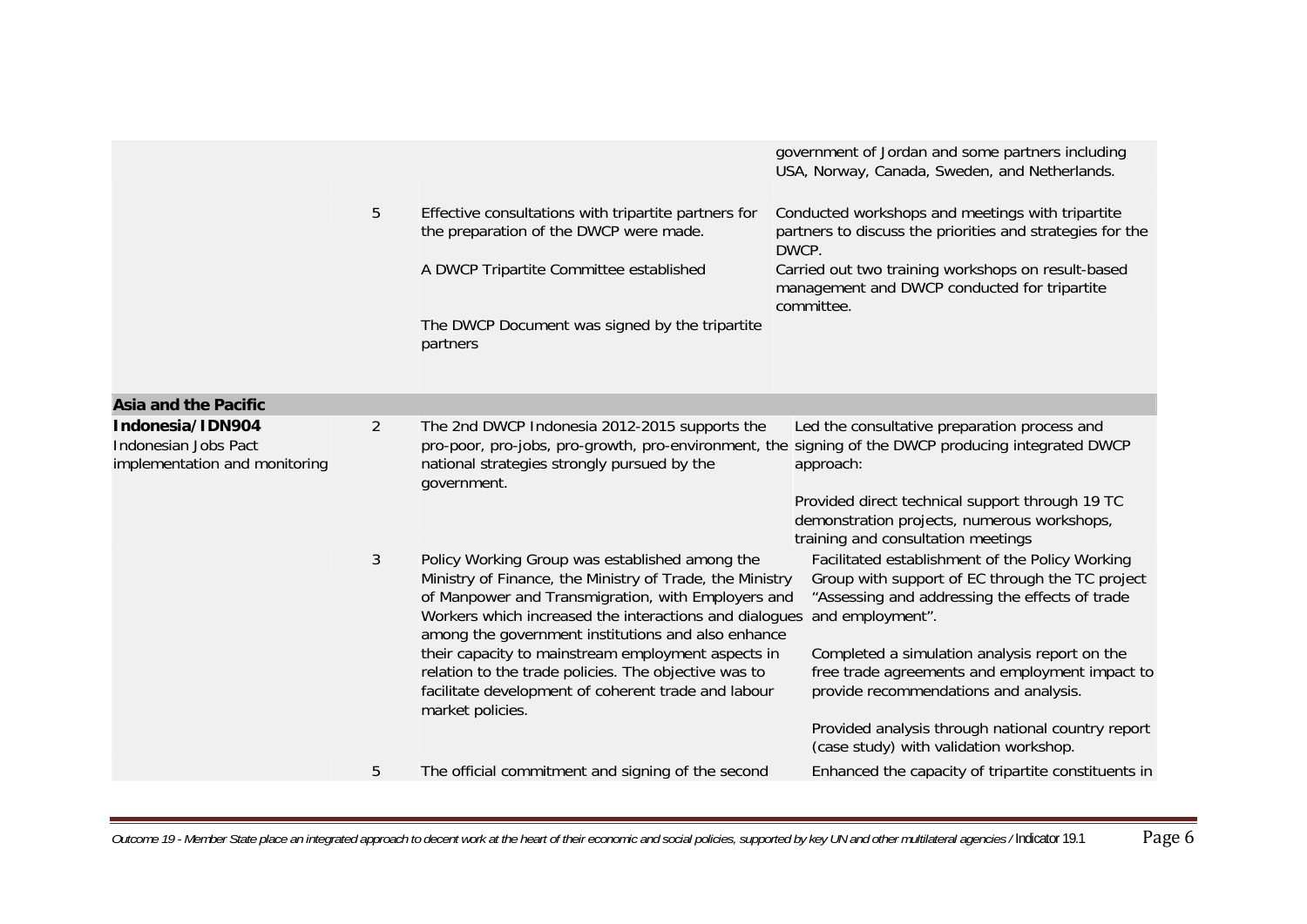|                                                                           |   |                                                                                                                                                                                                                                                                                  | government of Jordan and some partners including<br>USA, Norway, Canada, Sweden, and Netherlands.                                                                                                                  |
|---------------------------------------------------------------------------|---|----------------------------------------------------------------------------------------------------------------------------------------------------------------------------------------------------------------------------------------------------------------------------------|--------------------------------------------------------------------------------------------------------------------------------------------------------------------------------------------------------------------|
|                                                                           | 5 | Effective consultations with tripartite partners for<br>the preparation of the DWCP were made.                                                                                                                                                                                   | Conducted workshops and meetings with tripartite<br>partners to discuss the priorities and strategies for the<br>DWCP.                                                                                             |
|                                                                           |   | A DWCP Tripartite Committee established                                                                                                                                                                                                                                          | Carried out two training workshops on result-based<br>management and DWCP conducted for tripartite<br>committee.                                                                                                   |
|                                                                           |   | The DWCP Document was signed by the tripartite<br>partners                                                                                                                                                                                                                       |                                                                                                                                                                                                                    |
| <b>Asia and the Pacific</b>                                               |   |                                                                                                                                                                                                                                                                                  |                                                                                                                                                                                                                    |
| Indonesia/IDN904<br>Indonesian Jobs Pact<br>implementation and monitoring | 2 | The 2nd DWCP Indonesia 2012-2015 supports the<br>national strategies strongly pursued by the<br>government.                                                                                                                                                                      | Led the consultative preparation process and<br>pro-poor, pro-jobs, pro-growth, pro-environment, the signing of the DWCP producing integrated DWCP<br>approach:<br>Provided direct technical support through 19 TC |
|                                                                           |   |                                                                                                                                                                                                                                                                                  | demonstration projects, numerous workshops,<br>training and consultation meetings                                                                                                                                  |
|                                                                           | 3 | Policy Working Group was established among the<br>Ministry of Finance, the Ministry of Trade, the Ministry<br>of Manpower and Transmigration, with Employers and<br>Workers which increased the interactions and dialogues<br>among the government institutions and also enhance | Facilitated establishment of the Policy Working<br>Group with support of EC through the TC project<br>"Assessing and addressing the effects of trade<br>and employment".                                           |
|                                                                           |   | their capacity to mainstream employment aspects in<br>relation to the trade policies. The objective was to<br>facilitate development of coherent trade and labour<br>market policies.                                                                                            | Completed a simulation analysis report on the<br>free trade agreements and employment impact to<br>provide recommendations and analysis.                                                                           |
|                                                                           |   |                                                                                                                                                                                                                                                                                  | Provided analysis through national country report<br>(case study) with validation workshop.                                                                                                                        |
|                                                                           | 5 | The official commitment and signing of the second                                                                                                                                                                                                                                | Enhanced the capacity of tripartite constituents in                                                                                                                                                                |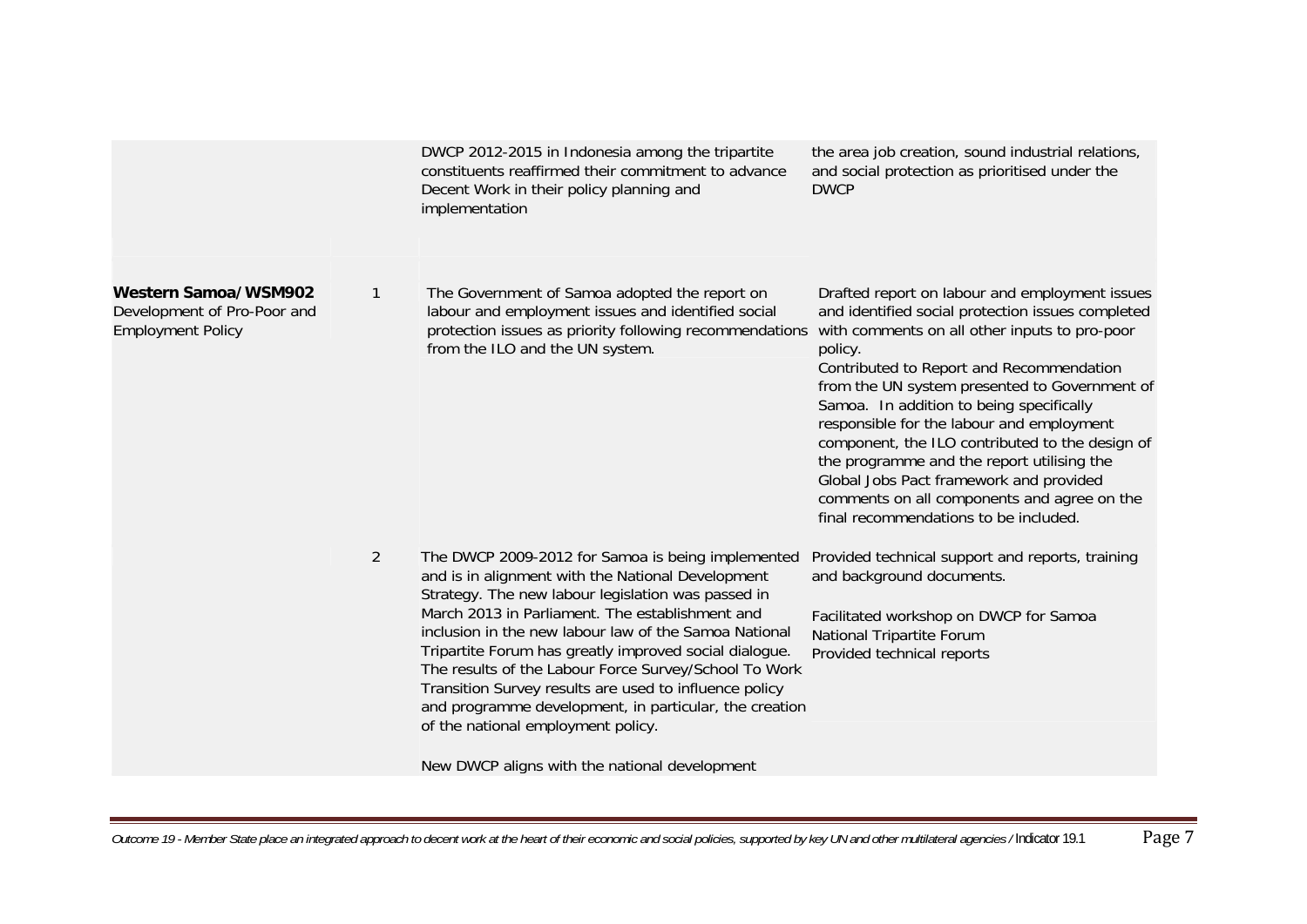|                                                                                        |                | DWCP 2012-2015 in Indonesia among the tripartite<br>constituents reaffirmed their commitment to advance<br>Decent Work in their policy planning and<br>implementation                                                                                                                                                                                                                                                                                                                                                                                                                                  | the area job creation, sound industrial relations,<br>and social protection as prioritised under the<br><b>DWCP</b>                                                                                                                                                                                                                                                                                                                                                                                                                                                                       |
|----------------------------------------------------------------------------------------|----------------|--------------------------------------------------------------------------------------------------------------------------------------------------------------------------------------------------------------------------------------------------------------------------------------------------------------------------------------------------------------------------------------------------------------------------------------------------------------------------------------------------------------------------------------------------------------------------------------------------------|-------------------------------------------------------------------------------------------------------------------------------------------------------------------------------------------------------------------------------------------------------------------------------------------------------------------------------------------------------------------------------------------------------------------------------------------------------------------------------------------------------------------------------------------------------------------------------------------|
| <b>Western Samoa/WSM902</b><br>Development of Pro-Poor and<br><b>Employment Policy</b> | 1              | The Government of Samoa adopted the report on<br>labour and employment issues and identified social<br>protection issues as priority following recommendations<br>from the ILO and the UN system.                                                                                                                                                                                                                                                                                                                                                                                                      | Drafted report on labour and employment issues<br>and identified social protection issues completed<br>with comments on all other inputs to pro-poor<br>policy.<br>Contributed to Report and Recommendation<br>from the UN system presented to Government of<br>Samoa. In addition to being specifically<br>responsible for the labour and employment<br>component, the ILO contributed to the design of<br>the programme and the report utilising the<br>Global Jobs Pact framework and provided<br>comments on all components and agree on the<br>final recommendations to be included. |
|                                                                                        | $\overline{2}$ | The DWCP 2009-2012 for Samoa is being implemented<br>and is in alignment with the National Development<br>Strategy. The new labour legislation was passed in<br>March 2013 in Parliament. The establishment and<br>inclusion in the new labour law of the Samoa National<br>Tripartite Forum has greatly improved social dialogue.<br>The results of the Labour Force Survey/School To Work<br>Transition Survey results are used to influence policy<br>and programme development, in particular, the creation<br>of the national employment policy.<br>New DWCP aligns with the national development | Provided technical support and reports, training<br>and background documents.<br>Facilitated workshop on DWCP for Samoa<br>National Tripartite Forum<br>Provided technical reports                                                                                                                                                                                                                                                                                                                                                                                                        |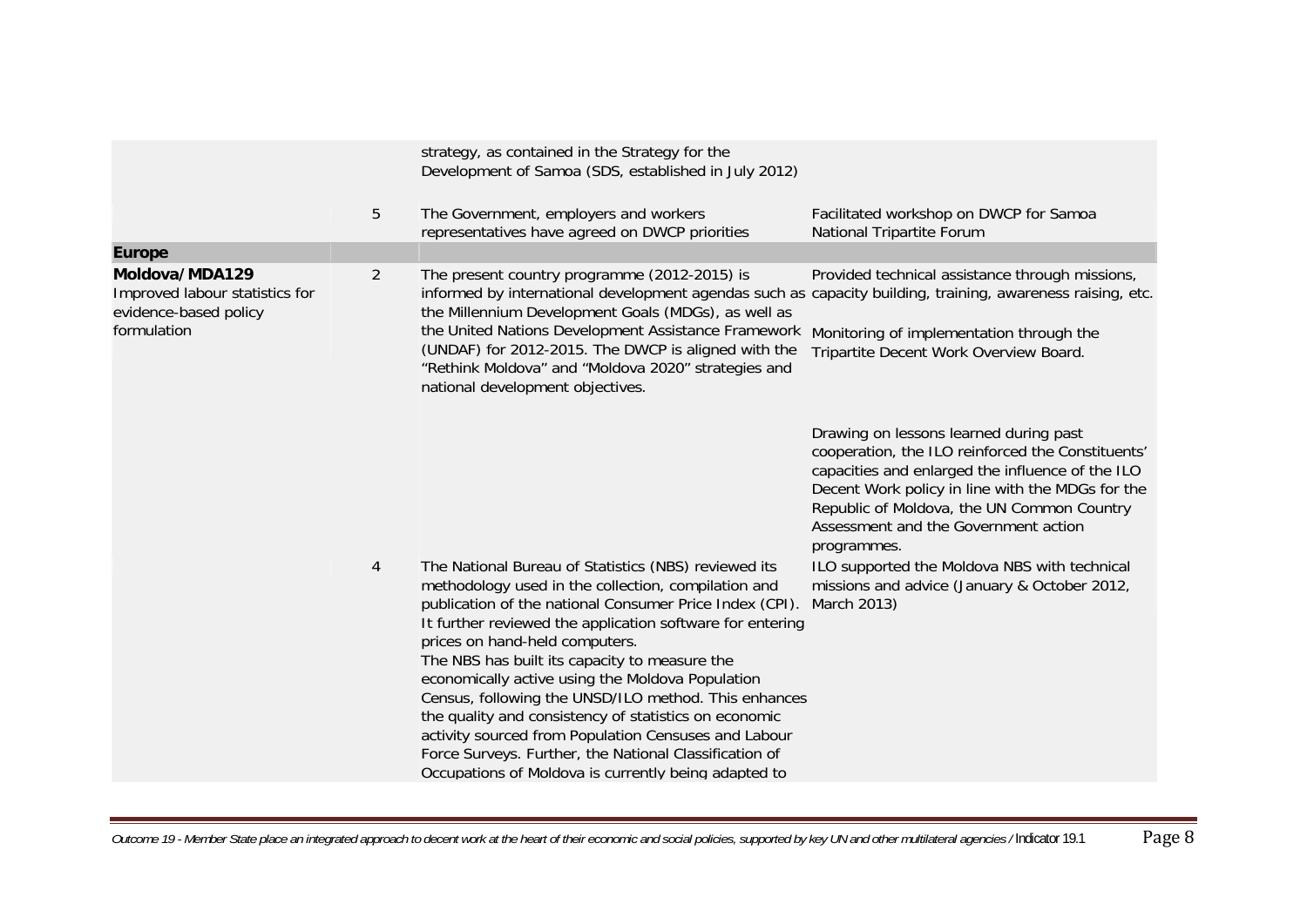|                                                                                          |   | strategy, as contained in the Strategy for the<br>Development of Samoa (SDS, established in July 2012)                                                                                                                                                                                                                                                                                                                                                                                                                                                                                                                                                                |                                                                                                                                                                                                                                                                                                          |
|------------------------------------------------------------------------------------------|---|-----------------------------------------------------------------------------------------------------------------------------------------------------------------------------------------------------------------------------------------------------------------------------------------------------------------------------------------------------------------------------------------------------------------------------------------------------------------------------------------------------------------------------------------------------------------------------------------------------------------------------------------------------------------------|----------------------------------------------------------------------------------------------------------------------------------------------------------------------------------------------------------------------------------------------------------------------------------------------------------|
|                                                                                          | 5 | The Government, employers and workers<br>representatives have agreed on DWCP priorities                                                                                                                                                                                                                                                                                                                                                                                                                                                                                                                                                                               | Facilitated workshop on DWCP for Samoa<br>National Tripartite Forum                                                                                                                                                                                                                                      |
| <b>Europe</b>                                                                            |   |                                                                                                                                                                                                                                                                                                                                                                                                                                                                                                                                                                                                                                                                       |                                                                                                                                                                                                                                                                                                          |
| Moldova/MDA129<br>Improved labour statistics for<br>evidence-based policy<br>formulation | 2 | The present country programme (2012-2015) is<br>informed by international development agendas such as capacity building, training, awareness raising, etc.<br>the Millennium Development Goals (MDGs), as well as<br>the United Nations Development Assistance Framework<br>(UNDAF) for 2012-2015. The DWCP is aligned with the<br>"Rethink Moldova" and "Moldova 2020" strategies and<br>national development objectives.                                                                                                                                                                                                                                            | Provided technical assistance through missions,<br>Monitoring of implementation through the<br>Tripartite Decent Work Overview Board.                                                                                                                                                                    |
|                                                                                          |   |                                                                                                                                                                                                                                                                                                                                                                                                                                                                                                                                                                                                                                                                       | Drawing on lessons learned during past<br>cooperation, the ILO reinforced the Constituents'<br>capacities and enlarged the influence of the ILO<br>Decent Work policy in line with the MDGs for the<br>Republic of Moldova, the UN Common Country<br>Assessment and the Government action<br>programmes. |
|                                                                                          | 4 | The National Bureau of Statistics (NBS) reviewed its<br>methodology used in the collection, compilation and<br>publication of the national Consumer Price Index (CPI).<br>It further reviewed the application software for entering<br>prices on hand-held computers.<br>The NBS has built its capacity to measure the<br>economically active using the Moldova Population<br>Census, following the UNSD/ILO method. This enhances<br>the quality and consistency of statistics on economic<br>activity sourced from Population Censuses and Labour<br>Force Surveys. Further, the National Classification of<br>Occupations of Moldova is currently being adapted to | ILO supported the Moldova NBS with technical<br>missions and advice (January & October 2012,<br>March 2013)                                                                                                                                                                                              |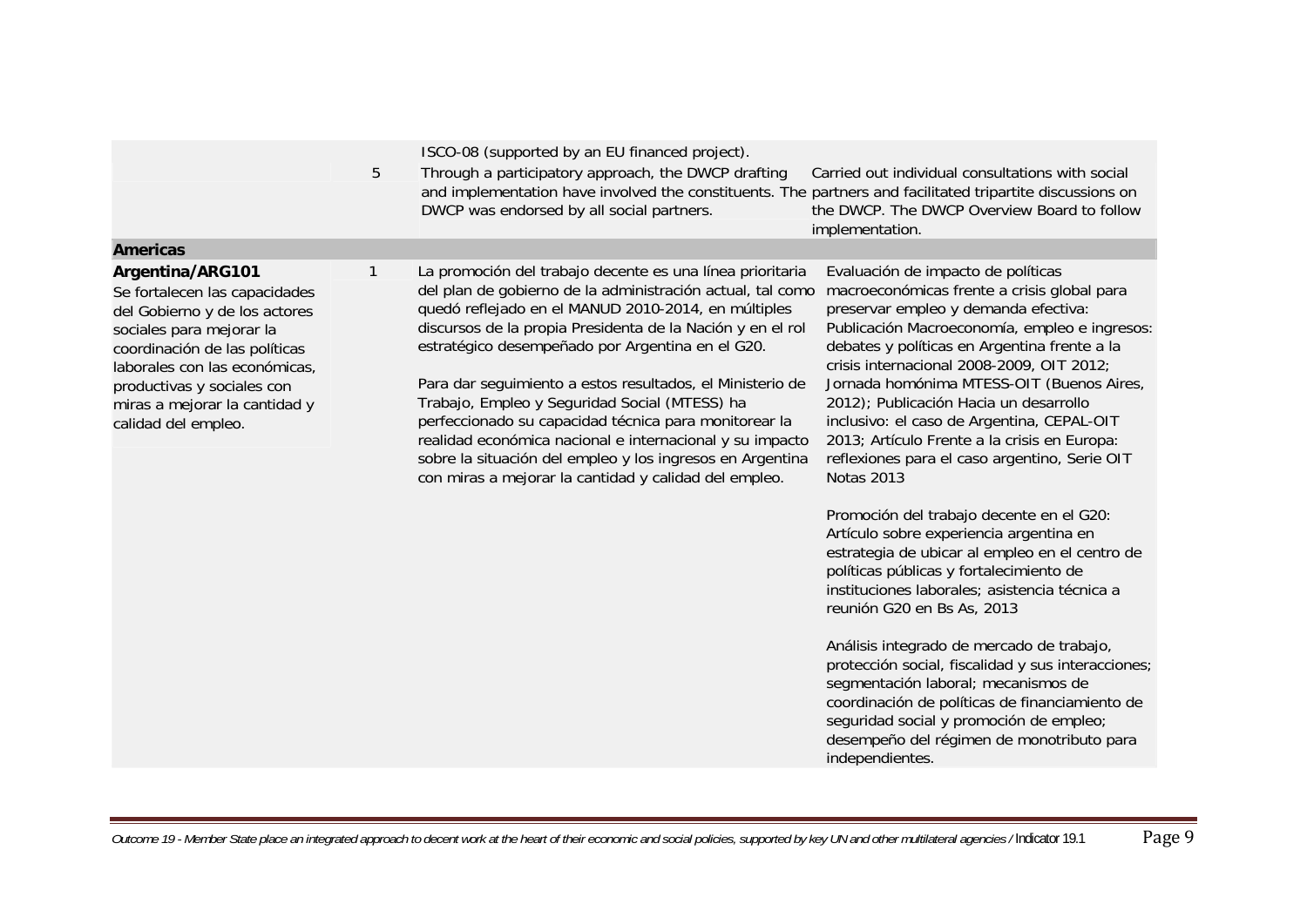|                                                                                                                                                                                                                                                                        | 5            | ISCO-08 (supported by an EU financed project).<br>Through a participatory approach, the DWCP drafting<br>and implementation have involved the constituents. The partners and facilitated tripartite discussions on<br>DWCP was endorsed by all social partners.                                                                                                                                                                                                                                                                                                                                                                                           | Carried out individual consultations with social<br>the DWCP. The DWCP Overview Board to follow<br>implementation.                                                                                                                                                                                                                                                                                                                                                                                                                                                                                                                                                                                                                                                                                                                                                                                                                                                                                                                                                                                           |
|------------------------------------------------------------------------------------------------------------------------------------------------------------------------------------------------------------------------------------------------------------------------|--------------|-----------------------------------------------------------------------------------------------------------------------------------------------------------------------------------------------------------------------------------------------------------------------------------------------------------------------------------------------------------------------------------------------------------------------------------------------------------------------------------------------------------------------------------------------------------------------------------------------------------------------------------------------------------|--------------------------------------------------------------------------------------------------------------------------------------------------------------------------------------------------------------------------------------------------------------------------------------------------------------------------------------------------------------------------------------------------------------------------------------------------------------------------------------------------------------------------------------------------------------------------------------------------------------------------------------------------------------------------------------------------------------------------------------------------------------------------------------------------------------------------------------------------------------------------------------------------------------------------------------------------------------------------------------------------------------------------------------------------------------------------------------------------------------|
| <b>Americas</b>                                                                                                                                                                                                                                                        |              |                                                                                                                                                                                                                                                                                                                                                                                                                                                                                                                                                                                                                                                           |                                                                                                                                                                                                                                                                                                                                                                                                                                                                                                                                                                                                                                                                                                                                                                                                                                                                                                                                                                                                                                                                                                              |
| Argentina/ARG101<br>Se fortalecen las capacidades<br>del Gobierno y de los actores<br>sociales para mejorar la<br>coordinación de las políticas<br>laborales con las económicas,<br>productivas y sociales con<br>miras a mejorar la cantidad y<br>calidad del empleo. | $\mathbf{1}$ | La promoción del trabajo decente es una línea prioritaria<br>del plan de gobierno de la administración actual, tal como<br>quedó reflejado en el MANUD 2010-2014, en múltiples<br>discursos de la propia Presidenta de la Nación y en el rol<br>estratégico desempeñado por Argentina en el G20.<br>Para dar seguimiento a estos resultados, el Ministerio de<br>Trabajo, Empleo y Seguridad Social (MTESS) ha<br>perfeccionado su capacidad técnica para monitorear la<br>realidad económica nacional e internacional y su impacto<br>sobre la situación del empleo y los ingresos en Argentina<br>con miras a mejorar la cantidad y calidad del empleo. | Evaluación de impacto de políticas<br>macroeconómicas frente a crisis global para<br>preservar empleo y demanda efectiva:<br>Publicación Macroeconomía, empleo e ingresos:<br>debates y políticas en Argentina frente a la<br>crisis internacional 2008-2009, OIT 2012;<br>Jornada homónima MTESS-OIT (Buenos Aires,<br>2012); Publicación Hacia un desarrollo<br>inclusivo: el caso de Argentina, CEPAL-OIT<br>2013; Artículo Frente a la crisis en Europa:<br>reflexiones para el caso argentino, Serie OIT<br><b>Notas 2013</b><br>Promoción del trabajo decente en el G20:<br>Artículo sobre experiencia argentina en<br>estrategia de ubicar al empleo en el centro de<br>políticas públicas y fortalecimiento de<br>instituciones laborales; asistencia técnica a<br>reunión G20 en Bs As, 2013<br>Análisis integrado de mercado de trabajo,<br>protección social, fiscalidad y sus interacciones;<br>segmentación laboral; mecanismos de<br>coordinación de políticas de financiamiento de<br>seguridad social y promoción de empleo;<br>desempeño del régimen de monotributo para<br>independientes. |
|                                                                                                                                                                                                                                                                        |              |                                                                                                                                                                                                                                                                                                                                                                                                                                                                                                                                                                                                                                                           |                                                                                                                                                                                                                                                                                                                                                                                                                                                                                                                                                                                                                                                                                                                                                                                                                                                                                                                                                                                                                                                                                                              |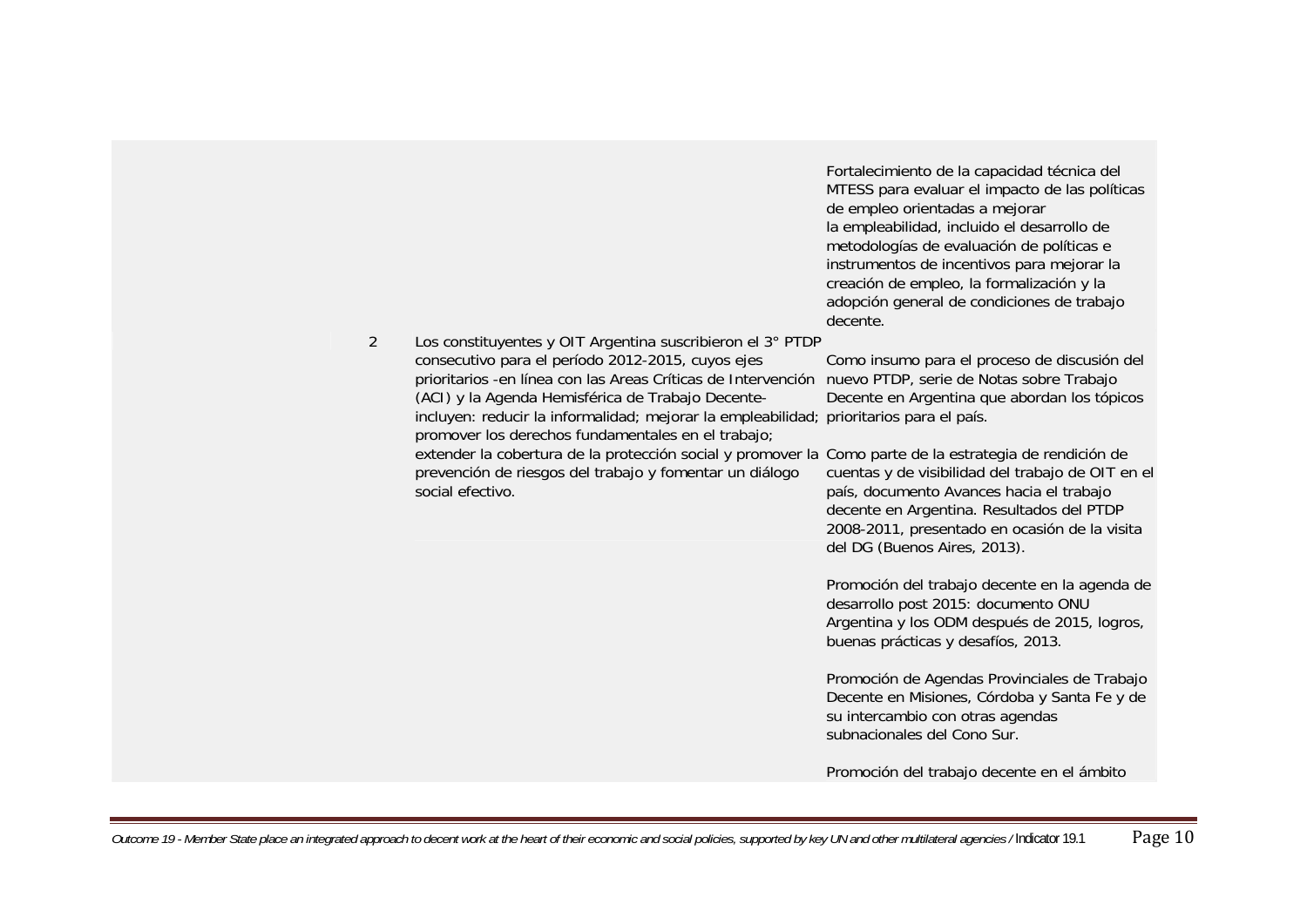|                |                                                                                                                                                                                                                                                                                                                                                                                                                                                                                                            | Fortalecimiento de la capacidad técnica del<br>MTESS para evaluar el impacto de las políticas<br>de empleo orientadas a mejorar<br>la empleabilidad, incluido el desarrollo de<br>metodologías de evaluación de políticas e<br>instrumentos de incentivos para mejorar la<br>creación de empleo, la formalización y la<br>adopción general de condiciones de trabajo<br>decente.                                                                                                                                                                                                                                                                                                                                                                                                                      |
|----------------|------------------------------------------------------------------------------------------------------------------------------------------------------------------------------------------------------------------------------------------------------------------------------------------------------------------------------------------------------------------------------------------------------------------------------------------------------------------------------------------------------------|-------------------------------------------------------------------------------------------------------------------------------------------------------------------------------------------------------------------------------------------------------------------------------------------------------------------------------------------------------------------------------------------------------------------------------------------------------------------------------------------------------------------------------------------------------------------------------------------------------------------------------------------------------------------------------------------------------------------------------------------------------------------------------------------------------|
| $\overline{2}$ | Los constituyentes y OIT Argentina suscribieron el 3° PTDP<br>consecutivo para el período 2012-2015, cuyos ejes<br>prioritarios - en línea con las Areas Críticas de Intervención<br>(ACI) y la Agenda Hemisférica de Trabajo Decente-<br>incluyen: reducir la informalidad; mejorar la empleabilidad;<br>promover los derechos fundamentales en el trabajo;<br>extender la cobertura de la protección social y promover la<br>prevención de riesgos del trabajo y fomentar un diálogo<br>social efectivo. | Como insumo para el proceso de discusión del<br>nuevo PTDP, serie de Notas sobre Trabajo<br>Decente en Argentina que abordan los tópicos<br>prioritarios para el país.<br>Como parte de la estrategia de rendición de<br>cuentas y de visibilidad del trabajo de OIT en el<br>país, documento Avances hacia el trabajo<br>decente en Argentina. Resultados del PTDP<br>2008-2011, presentado en ocasión de la visita<br>del DG (Buenos Aires, 2013).<br>Promoción del trabajo decente en la agenda de<br>desarrollo post 2015: documento ONU<br>Argentina y los ODM después de 2015, logros,<br>buenas prácticas y desafíos, 2013.<br>Promoción de Agendas Provinciales de Trabajo<br>Decente en Misiones, Córdoba y Santa Fe y de<br>su intercambio con otras agendas<br>subnacionales del Cono Sur. |
|                |                                                                                                                                                                                                                                                                                                                                                                                                                                                                                                            | Promoción del trabajo decente en el ámbito                                                                                                                                                                                                                                                                                                                                                                                                                                                                                                                                                                                                                                                                                                                                                            |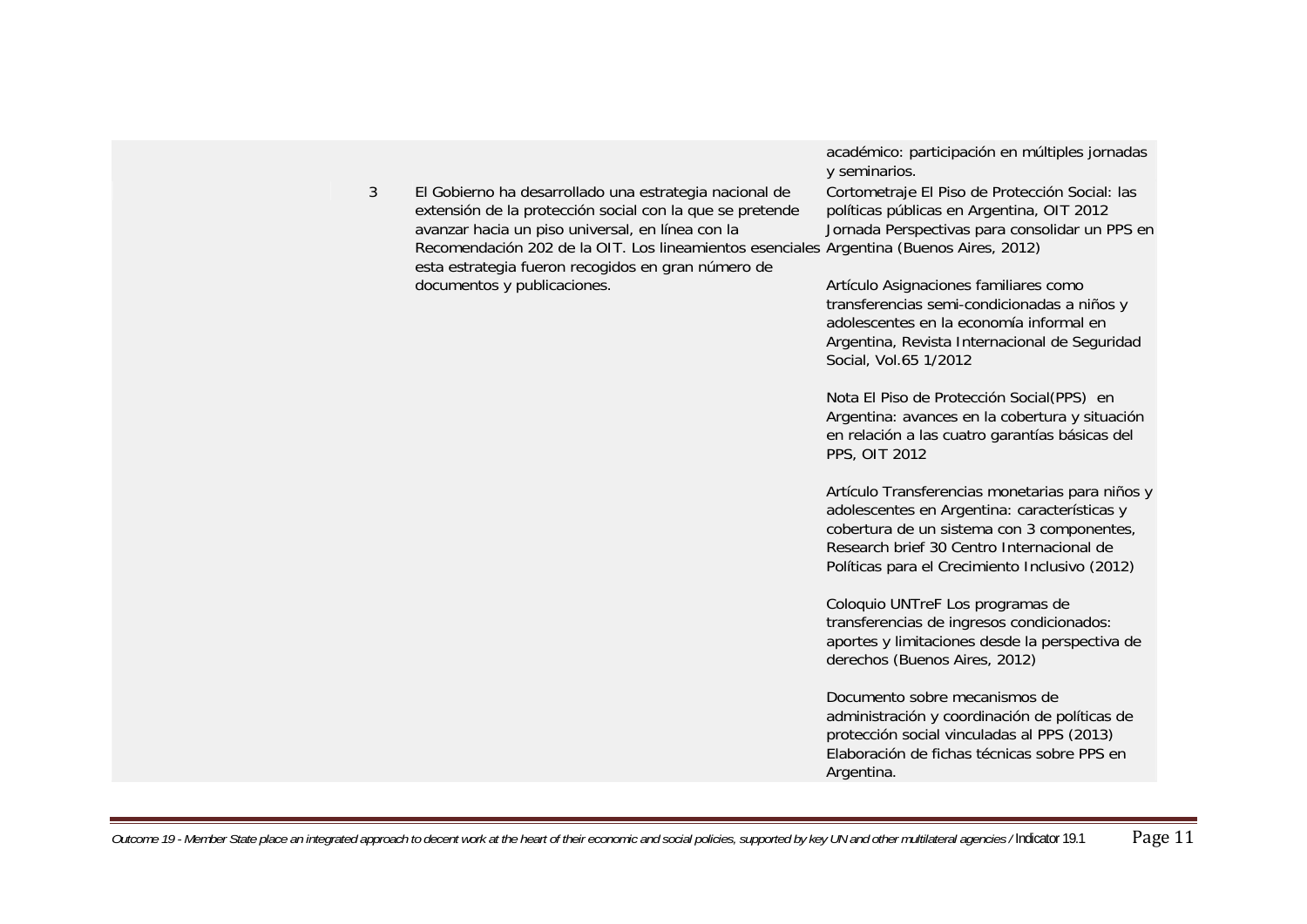3 El Gobierno ha desarrollado una estrategia nacional de extensión de la protección social con la que se pretende avanzar hacia un piso universal, en línea con la Recomendación 202 de la OIT. Los lineamientos esenciales Argentina (Buenos Aires, 2012) esta estrategia fueron recogidos en gran número de documentos y publicaciones.

académico: participación en múltiples jornadas y seminarios.

Cortometraje El Piso de Protección Social: las políticas públicas en Argentina, OIT 2012 Jornada Perspectivas para consolidar un PPS en

Artículo Asignaciones familiares como transferencias semi-condicionadas a niños y adolescentes en la economía informal en Argentina, Revista Internacional de Seguridad Social, Vol.65 1/2012

Nota El Piso de Protección Social(PPS) en Argentina: avances en la cobertura y situación en relación a las cuatro garantías básicas del PPS, OIT 2012

Artículo Transferencias monetarias para niños y adolescentes en Argentina: características y cobertura de un sistema con 3 componentes, Research brief 30 Centro Internacional de Políticas para el Crecimiento Inclusivo (2012)

Coloquio UNTreF Los programas de transferencias de ingresos condicionados: aportes y limitaciones desde la perspectiva de derechos (Buenos Aires, 2012)

Documento sobre mecanismos de administración y coordinación de políticas de protección social vinculadas al PPS (2013) Elaboración de fichas técnicas sobre PPS en Argentina.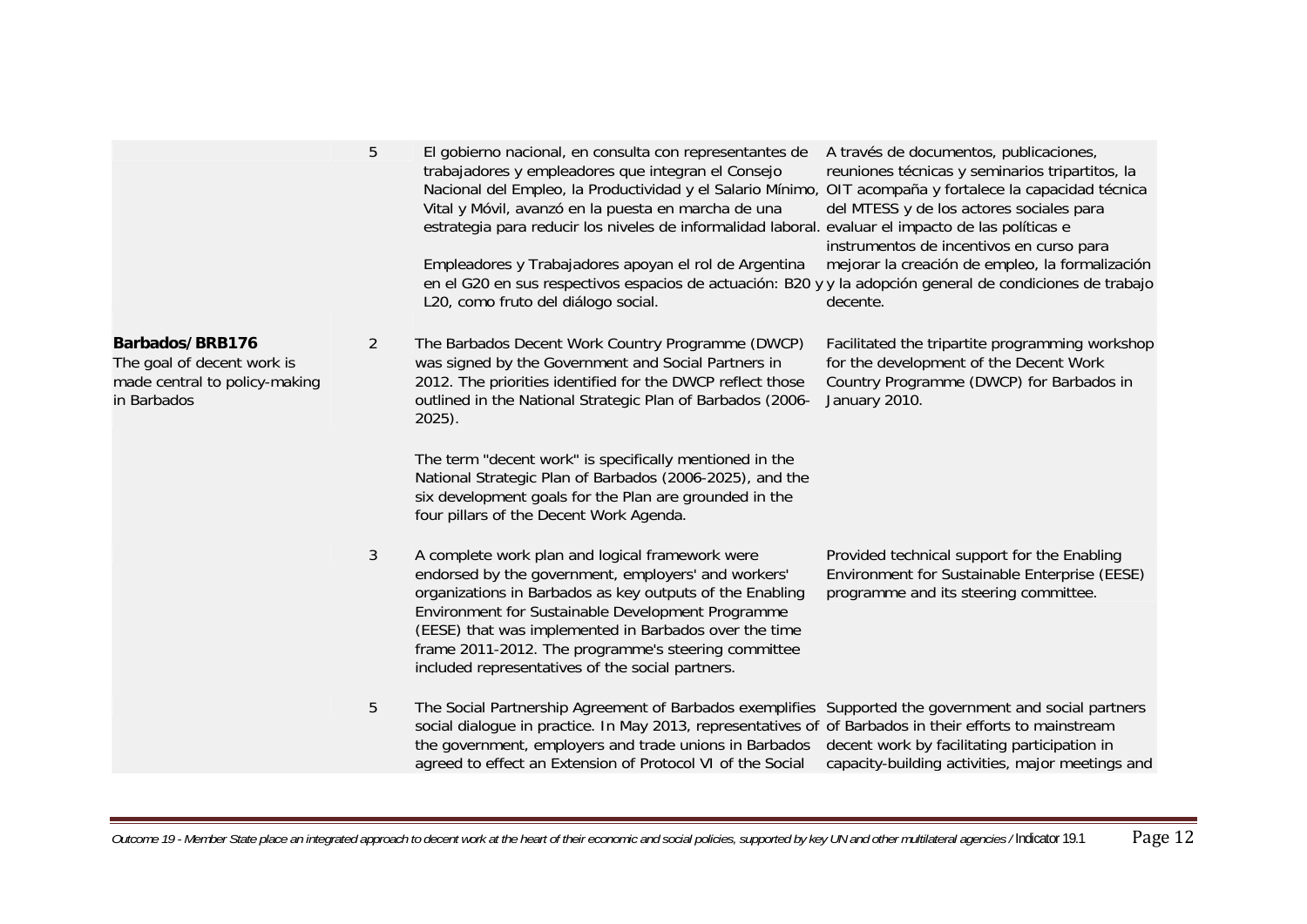|                                                                                               | 5              | El gobierno nacional, en consulta con representantes de<br>trabajadores y empleadores que integran el Consejo<br>Nacional del Empleo, la Productividad y el Salario Mínimo, OIT acompaña y fortalece la capacidad técnica<br>Vital y Móvil, avanzó en la puesta en marcha de una<br>estrategia para reducir los niveles de informalidad laboral. evaluar el impacto de las políticas e<br>Empleadores y Trabajadores apoyan el rol de Argentina<br>en el G20 en sus respectivos espacios de actuación: B20 y y la adopción general de condiciones de trabajo<br>L20, como fruto del diálogo social. | A través de documentos, publicaciones,<br>reuniones técnicas y seminarios tripartitos, la<br>del MTESS y de los actores sociales para<br>instrumentos de incentivos en curso para<br>mejorar la creación de empleo, la formalización<br>decente. |
|-----------------------------------------------------------------------------------------------|----------------|-----------------------------------------------------------------------------------------------------------------------------------------------------------------------------------------------------------------------------------------------------------------------------------------------------------------------------------------------------------------------------------------------------------------------------------------------------------------------------------------------------------------------------------------------------------------------------------------------------|--------------------------------------------------------------------------------------------------------------------------------------------------------------------------------------------------------------------------------------------------|
| Barbados/BRB176<br>The goal of decent work is<br>made central to policy-making<br>in Barbados | $\overline{2}$ | The Barbados Decent Work Country Programme (DWCP)<br>was signed by the Government and Social Partners in<br>2012. The priorities identified for the DWCP reflect those<br>outlined in the National Strategic Plan of Barbados (2006-<br>$2025$ ).                                                                                                                                                                                                                                                                                                                                                   | Facilitated the tripartite programming workshop<br>for the development of the Decent Work<br>Country Programme (DWCP) for Barbados in<br>January 2010.                                                                                           |
|                                                                                               |                | The term "decent work" is specifically mentioned in the<br>National Strategic Plan of Barbados (2006-2025), and the<br>six development goals for the Plan are grounded in the<br>four pillars of the Decent Work Agenda.                                                                                                                                                                                                                                                                                                                                                                            |                                                                                                                                                                                                                                                  |
|                                                                                               | $\mathfrak{Z}$ | A complete work plan and logical framework were<br>endorsed by the government, employers' and workers'<br>organizations in Barbados as key outputs of the Enabling<br>Environment for Sustainable Development Programme<br>(EESE) that was implemented in Barbados over the time<br>frame 2011-2012. The programme's steering committee<br>included representatives of the social partners.                                                                                                                                                                                                         | Provided technical support for the Enabling<br>Environment for Sustainable Enterprise (EESE)<br>programme and its steering committee.                                                                                                            |
|                                                                                               | 5              | The Social Partnership Agreement of Barbados exemplifies Supported the government and social partners<br>social dialogue in practice. In May 2013, representatives of of Barbados in their efforts to mainstream<br>the government, employers and trade unions in Barbados decent work by facilitating participation in<br>agreed to effect an Extension of Protocol VI of the Social                                                                                                                                                                                                               | capacity-building activities, major meetings and                                                                                                                                                                                                 |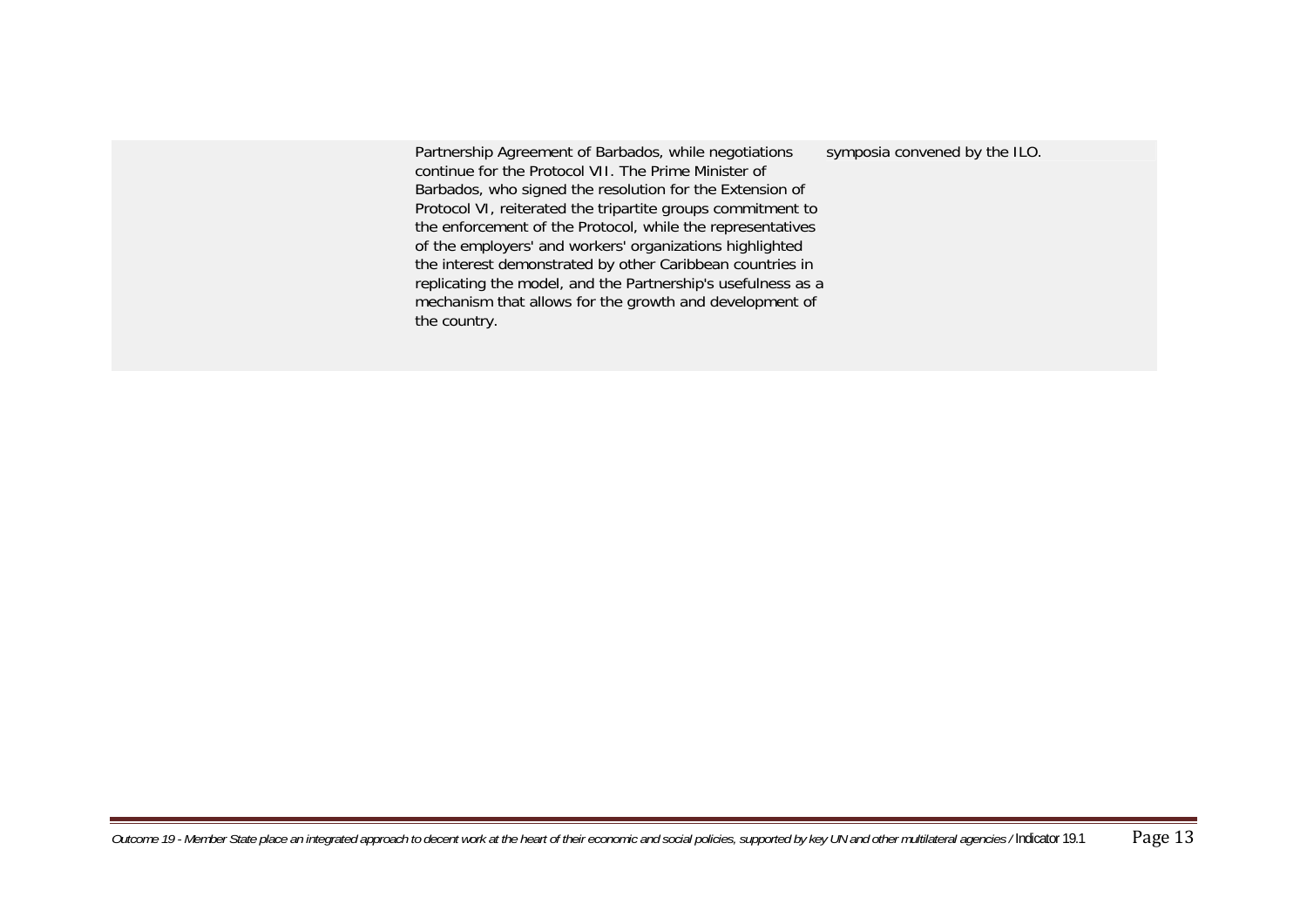Partnership Agreement of Barbados, while negotiations continue for the Protocol VII. The Prime Minister of Barbados, who signed the resolution for the Extension of Protocol VI, reiterated the tripartite groups commitment to the enforcement of the Protocol, while the representatives of the employers' and workers' organizations highlighted the interest demonstrated by other Caribbean countries in replicatin g the model, and the Partnership's usefulness as a mechanism that allows for the growth and development of the country. symposia convened by the ILO.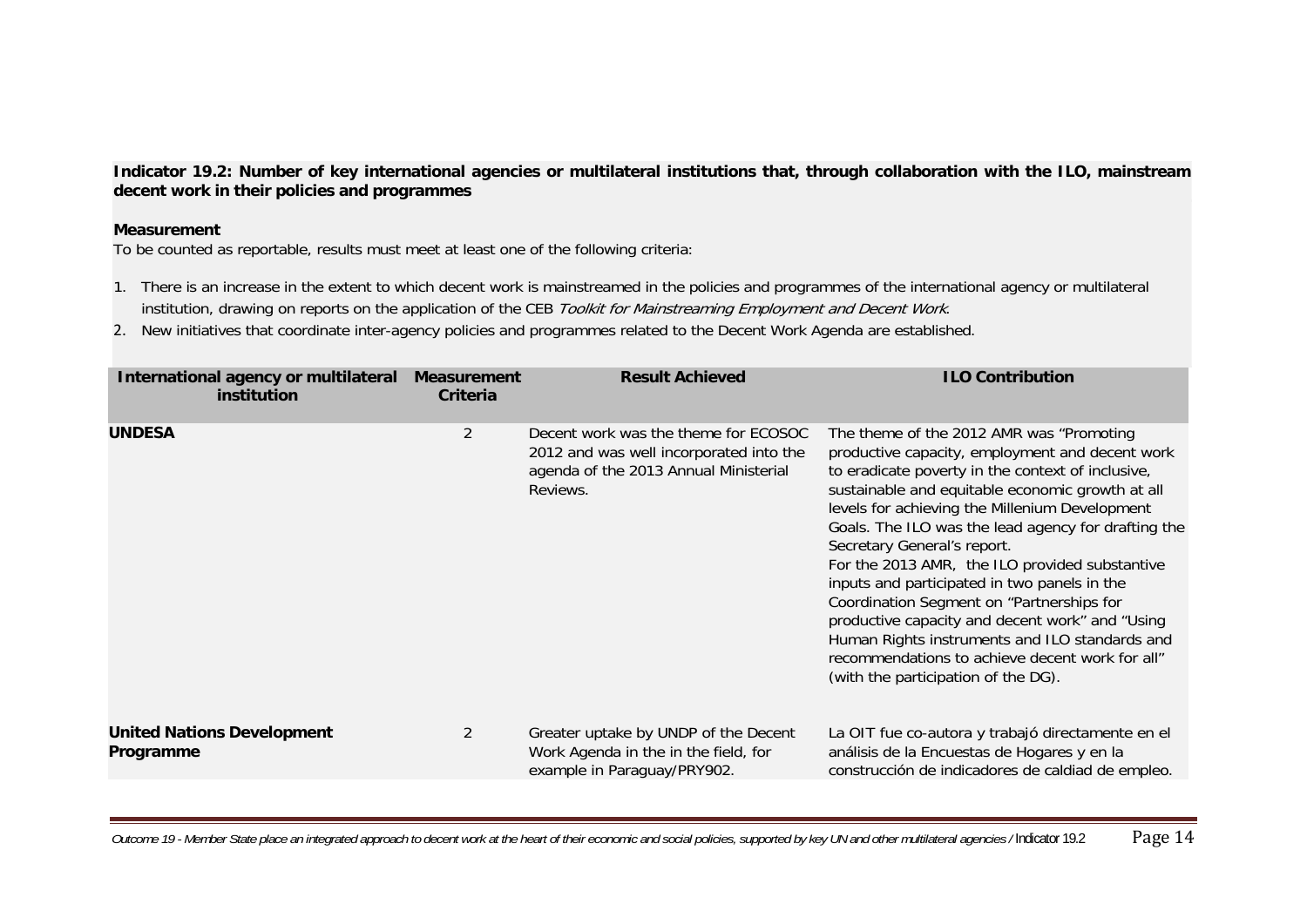Indicator 19.2: Number of key international agencies or multilateral institutions that, through collaboration with the ILO, mainstream **decent work in their policies and programmes** 

#### **Measurement**

To be counted as reportable, results must meet at least one of the following criteria:

- 1. There is an increase in the extent to which decent work is mainstreamed in the policies and programmes of the international agency or multilateral institution, drawing on reports on the application of the CEB Toolkit for Mainstreaming Employment and Decent Work.
- 2. New initiatives that coordinate inter-agency policies and programmes related to the Decent Work Agenda are established.

| International agency or multilateral<br>institution | <b>Measurement</b><br>Criteria | <b>Result Achieved</b>                                                                                                               | <b>ILO Contribution</b>                                                                                                                                                                                                                                                                                                                                                                                                                                                                                                                                                                                                                                                                     |
|-----------------------------------------------------|--------------------------------|--------------------------------------------------------------------------------------------------------------------------------------|---------------------------------------------------------------------------------------------------------------------------------------------------------------------------------------------------------------------------------------------------------------------------------------------------------------------------------------------------------------------------------------------------------------------------------------------------------------------------------------------------------------------------------------------------------------------------------------------------------------------------------------------------------------------------------------------|
| <b>UNDESA</b>                                       | 2                              | Decent work was the theme for ECOSOC<br>2012 and was well incorporated into the<br>agenda of the 2013 Annual Ministerial<br>Reviews. | The theme of the 2012 AMR was "Promoting"<br>productive capacity, employment and decent work<br>to eradicate poverty in the context of inclusive,<br>sustainable and equitable economic growth at all<br>levels for achieving the Millenium Development<br>Goals. The ILO was the lead agency for drafting the<br>Secretary General's report.<br>For the 2013 AMR, the ILO provided substantive<br>inputs and participated in two panels in the<br>Coordination Segment on "Partnerships for<br>productive capacity and decent work" and "Using<br>Human Rights instruments and ILO standards and<br>recommendations to achieve decent work for all"<br>(with the participation of the DG). |
| <b>United Nations Development</b><br>Programme      | $\mathcal{P}$                  | Greater uptake by UNDP of the Decent<br>Work Agenda in the in the field, for<br>example in Paraguay/PRY902.                          | La OIT fue co-autora y trabajó directamente en el<br>análisis de la Encuestas de Hogares y en la<br>construcción de indicadores de caldiad de empleo.                                                                                                                                                                                                                                                                                                                                                                                                                                                                                                                                       |